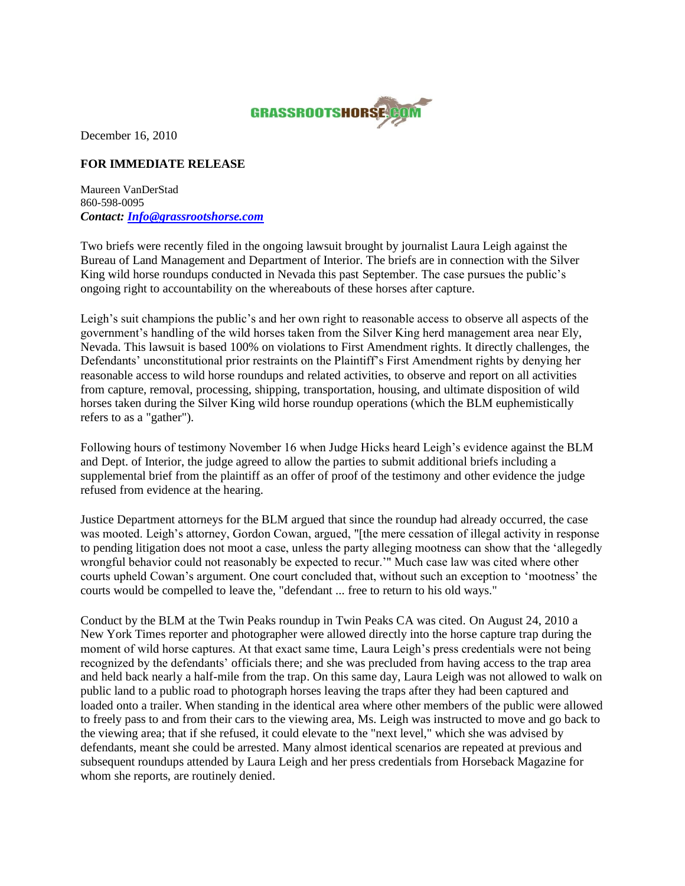

December 16, 2010

## **FOR IMMEDIATE RELEASE**

Maureen VanDerStad 860-598-0095 *Contact: [Info@grassrootshorse.com](mailto:Info@grassrootshorse.com)*

Two briefs were recently filed in the ongoing lawsuit brought by journalist Laura Leigh against the Bureau of Land Management and Department of Interior. The briefs are in connection with the Silver King wild horse roundups conducted in Nevada this past September. The case pursues the public"s ongoing right to accountability on the whereabouts of these horses after capture.

Leigh's suit champions the public's and her own right to reasonable access to observe all aspects of the government's handling of the wild horses taken from the Silver King herd management area near Ely, Nevada. This lawsuit is based 100% on violations to First Amendment rights. It directly challenges, the Defendants' unconstitutional prior restraints on the Plaintiff's First Amendment rights by denying her reasonable access to wild horse roundups and related activities, to observe and report on all activities from capture, removal, processing, shipping, transportation, housing, and ultimate disposition of wild horses taken during the Silver King wild horse roundup operations (which the BLM euphemistically refers to as a "gather").

Following hours of testimony November 16 when Judge Hicks heard Leigh"s evidence against the BLM and Dept. of Interior, the judge agreed to allow the parties to submit additional briefs including a supplemental brief from the plaintiff as an offer of proof of the testimony and other evidence the judge refused from evidence at the hearing.

Justice Department attorneys for the BLM argued that since the roundup had already occurred, the case was mooted. Leigh's attorney, Gordon Cowan, argued, "[the mere cessation of illegal activity in response to pending litigation does not moot a case, unless the party alleging mootness can show that the "allegedly wrongful behavior could not reasonably be expected to recur."" Much case law was cited where other courts upheld Cowan"s argument. One court concluded that, without such an exception to "mootness" the courts would be compelled to leave the, "defendant ... free to return to his old ways."

Conduct by the BLM at the Twin Peaks roundup in Twin Peaks CA was cited. On August 24, 2010 a New York Times reporter and photographer were allowed directly into the horse capture trap during the moment of wild horse captures. At that exact same time, Laura Leigh's press credentials were not being recognized by the defendants" officials there; and she was precluded from having access to the trap area and held back nearly a half-mile from the trap. On this same day, Laura Leigh was not allowed to walk on public land to a public road to photograph horses leaving the traps after they had been captured and loaded onto a trailer. When standing in the identical area where other members of the public were allowed to freely pass to and from their cars to the viewing area, Ms. Leigh was instructed to move and go back to the viewing area; that if she refused, it could elevate to the "next level," which she was advised by defendants, meant she could be arrested. Many almost identical scenarios are repeated at previous and subsequent roundups attended by Laura Leigh and her press credentials from Horseback Magazine for whom she reports, are routinely denied.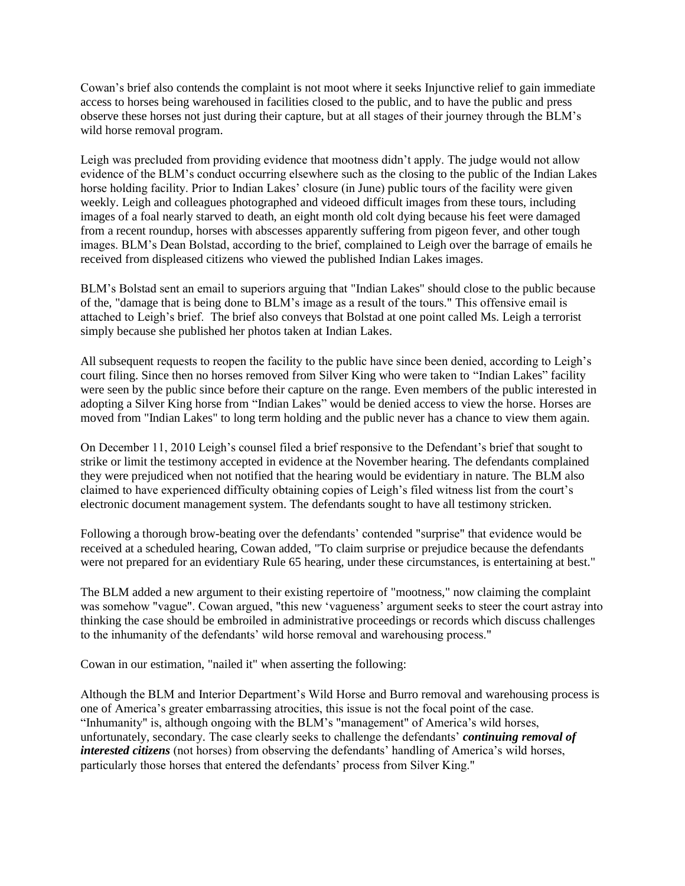Cowan"s brief also contends the complaint is not moot where it seeks Injunctive relief to gain immediate access to horses being warehoused in facilities closed to the public, and to have the public and press observe these horses not just during their capture, but at all stages of their journey through the BLM"s wild horse removal program.

Leigh was precluded from providing evidence that mootness didn"t apply. The judge would not allow evidence of the BLM"s conduct occurring elsewhere such as the closing to the public of the Indian Lakes horse holding facility. Prior to Indian Lakes' closure (in June) public tours of the facility were given weekly. Leigh and colleagues photographed and videoed difficult images from these tours, including images of a foal nearly starved to death, an eight month old colt dying because his feet were damaged from a recent roundup, horses with abscesses apparently suffering from pigeon fever, and other tough images. BLM"s Dean Bolstad, according to the brief, complained to Leigh over the barrage of emails he received from displeased citizens who viewed the published Indian Lakes images.

BLM"s Bolstad sent an email to superiors arguing that "Indian Lakes" should close to the public because of the, "damage that is being done to BLM"s image as a result of the tours." This offensive email is attached to Leigh"s brief. The brief also conveys that Bolstad at one point called Ms. Leigh a terrorist simply because she published her photos taken at Indian Lakes.

All subsequent requests to reopen the facility to the public have since been denied, according to Leigh"s court filing. Since then no horses removed from Silver King who were taken to "Indian Lakes" facility were seen by the public since before their capture on the range. Even members of the public interested in adopting a Silver King horse from "Indian Lakes" would be denied access to view the horse. Horses are moved from "Indian Lakes" to long term holding and the public never has a chance to view them again.

On December 11, 2010 Leigh's counsel filed a brief responsive to the Defendant's brief that sought to strike or limit the testimony accepted in evidence at the November hearing. The defendants complained they were prejudiced when not notified that the hearing would be evidentiary in nature. The BLM also claimed to have experienced difficulty obtaining copies of Leigh"s filed witness list from the court"s electronic document management system. The defendants sought to have all testimony stricken.

Following a thorough brow-beating over the defendants" contended "surprise" that evidence would be received at a scheduled hearing, Cowan added, "To claim surprise or prejudice because the defendants were not prepared for an evidentiary Rule 65 hearing, under these circumstances, is entertaining at best."

The BLM added a new argument to their existing repertoire of "mootness," now claiming the complaint was somehow "vague". Cowan argued, "this new 'vagueness' argument seeks to steer the court astray into thinking the case should be embroiled in administrative proceedings or records which discuss challenges to the inhumanity of the defendants' wild horse removal and warehousing process."

Cowan in our estimation, "nailed it" when asserting the following:

Although the BLM and Interior Department"s Wild Horse and Burro removal and warehousing process is one of America"s greater embarrassing atrocities, this issue is not the focal point of the case. "Inhumanity" is, although ongoing with the BLM's "management" of America's wild horses, unfortunately, secondary. The case clearly seeks to challenge the defendants" *continuing removal of interested citizens* (not horses) from observing the defendants' handling of America's wild horses, particularly those horses that entered the defendants' process from Silver King."